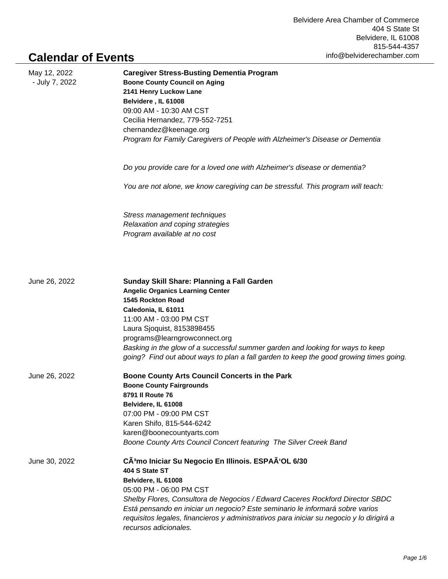## **Calendar of Events**

| May 12, 2022<br>- July 7, 2022 | <b>Caregiver Stress-Busting Dementia Program</b><br><b>Boone County Council on Aging</b><br>2141 Henry Luckow Lane<br>Belvidere, IL 61008<br>09:00 AM - 10:30 AM CST<br>Cecilia Hernandez, 779-552-7251<br>chernandez@keenage.org<br>Program for Family Caregivers of People with Alzheimer's Disease or Dementia                                                                                                            |
|--------------------------------|------------------------------------------------------------------------------------------------------------------------------------------------------------------------------------------------------------------------------------------------------------------------------------------------------------------------------------------------------------------------------------------------------------------------------|
|                                | Do you provide care for a loved one with Alzheimer's disease or dementia?                                                                                                                                                                                                                                                                                                                                                    |
|                                | You are not alone, we know caregiving can be stressful. This program will teach:                                                                                                                                                                                                                                                                                                                                             |
|                                | Stress management techniques<br>Relaxation and coping strategies<br>Program available at no cost                                                                                                                                                                                                                                                                                                                             |
| June 26, 2022                  | Sunday Skill Share: Planning a Fall Garden<br><b>Angelic Organics Learning Center</b><br><b>1545 Rockton Road</b><br>Caledonia, IL 61011<br>11:00 AM - 03:00 PM CST<br>Laura Sjoquist, 8153898455<br>programs@learngrowconnect.org<br>Basking in the glow of a successful summer garden and looking for ways to keep<br>going? Find out about ways to plan a fall garden to keep the good growing times going.               |
| June 26, 2022                  | Boone County Arts Council Concerts in the Park<br><b>Boone County Fairgrounds</b><br>8791 II Route 76<br>Belvidere, IL 61008<br>07:00 PM - 09:00 PM CST<br>Karen Shifo, 815-544-6242<br>karen@boonecountyarts.com<br>Boone County Arts Council Concert featuring The Silver Creek Band                                                                                                                                       |
| June 30, 2022                  | CÃ <sup>3</sup> mo Iniciar Su Negocio En Illinois. ESPAÃ'OL 6/30<br>404 S State ST<br>Belvidere, IL 61008<br>05:00 PM - 06:00 PM CST<br>Shelby Flores, Consultora de Negocios / Edward Caceres Rockford Director SBDC<br>Está pensando en iniciar un negocio? Este seminario le informará sobre varios<br>requisitos legales, financieros y administrativos para iniciar su negocio y lo dirigirá a<br>recursos adicionales. |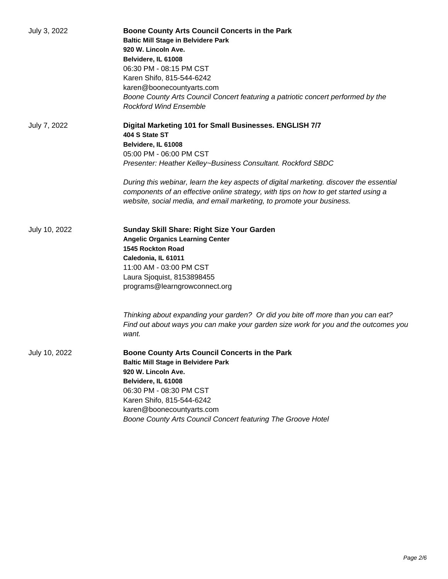| July 3, 2022  | Boone County Arts Council Concerts in the Park<br><b>Baltic Mill Stage in Belvidere Park</b><br>920 W. Lincoln Ave.<br>Belvidere, IL 61008<br>06:30 PM - 08:15 PM CST<br>Karen Shifo, 815-544-6242<br>karen@boonecountyarts.com<br>Boone County Arts Council Concert featuring a patriotic concert performed by the<br><b>Rockford Wind Ensemble</b> |
|---------------|------------------------------------------------------------------------------------------------------------------------------------------------------------------------------------------------------------------------------------------------------------------------------------------------------------------------------------------------------|
| July 7, 2022  | Digital Marketing 101 for Small Businesses. ENGLISH 7/7<br>404 S State ST<br>Belvidere, IL 61008<br>05:00 PM - 06:00 PM CST<br>Presenter: Heather Kelley~Business Consultant. Rockford SBDC                                                                                                                                                          |
|               | During this webinar, learn the key aspects of digital marketing. discover the essential<br>components of an effective online strategy, with tips on how to get started using a<br>website, social media, and email marketing, to promote your business.                                                                                              |
| July 10, 2022 | Sunday Skill Share: Right Size Your Garden<br><b>Angelic Organics Learning Center</b><br>1545 Rockton Road<br>Caledonia, IL 61011<br>11:00 AM - 03:00 PM CST<br>Laura Sjoquist, 8153898455<br>programs@learngrowconnect.org                                                                                                                          |
|               | Thinking about expanding your garden? Or did you bite off more than you can eat?<br>Find out about ways you can make your garden size work for you and the outcomes you<br>want.                                                                                                                                                                     |
| July 10, 2022 | Boone County Arts Council Concerts in the Park<br><b>Baltic Mill Stage in Belvidere Park</b><br>920 W. Lincoln Ave.<br>Belvidere, IL 61008<br>06:30 PM - 08:30 PM CST<br>Karen Shifo, 815-544-6242<br>karen@boonecountyarts.com<br>Boone County Arts Council Concert featuring The Groove Hotel                                                      |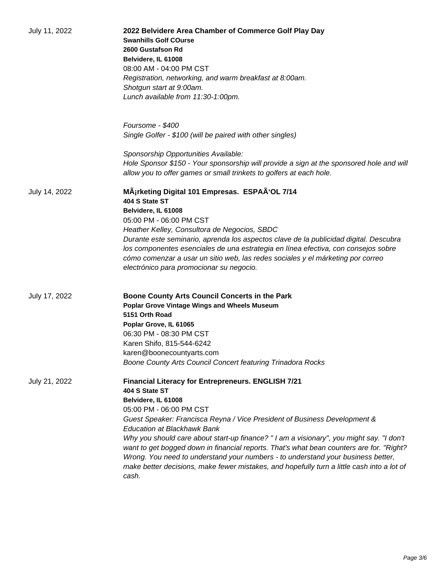| July 11, 2022 | 2022 Belvidere Area Chamber of Commerce Golf Play Day<br><b>Swanhills Golf COurse</b><br>2600 Gustafson Rd<br>Belvidere, IL 61008<br>08:00 AM - 04:00 PM CST<br>Registration, networking, and warm breakfast at 8:00am.<br>Shotgun start at 9:00am.<br>Lunch available from 11:30-1:00pm.<br>Foursome - \$400                                                                                                                                                                                                                                                                                                               |
|---------------|-----------------------------------------------------------------------------------------------------------------------------------------------------------------------------------------------------------------------------------------------------------------------------------------------------------------------------------------------------------------------------------------------------------------------------------------------------------------------------------------------------------------------------------------------------------------------------------------------------------------------------|
|               | Single Golfer - \$100 (will be paired with other singles)                                                                                                                                                                                                                                                                                                                                                                                                                                                                                                                                                                   |
|               | Sponsorship Opportunities Available:<br>Hole Sponsor \$150 - Your sponsorship will provide a sign at the sponsored hole and will<br>allow you to offer games or small trinkets to golfers at each hole.                                                                                                                                                                                                                                                                                                                                                                                                                     |
| July 14, 2022 | MÄ¡rketing Digital 101 Empresas. ESPAÃ'OL 7/14<br>404 S State ST<br>Belvidere, IL 61008<br>05:00 PM - 06:00 PM CST<br>Heather Kelley, Consultora de Negocios, SBDC<br>Durante este seminario, aprenda los aspectos clave de la publicidad digital. Descubra<br>los componentes esenciales de una estrategia en línea efectiva, con consejos sobre<br>cómo comenzar a usar un sitio web, las redes sociales y el márketing por correo<br>electrónico para promocionar su negocio.                                                                                                                                            |
| July 17, 2022 | Boone County Arts Council Concerts in the Park<br><b>Poplar Grove Vintage Wings and Wheels Museum</b><br>5151 Orth Road<br>Poplar Grove, IL 61065<br>06:30 PM - 08:30 PM CST<br>Karen Shifo, 815-544-6242<br>karen@boonecountyarts.com<br>Boone County Arts Council Concert featuring Trinadora Rocks                                                                                                                                                                                                                                                                                                                       |
| July 21, 2022 | Financial Literacy for Entrepreneurs. ENGLISH 7/21<br>404 S State ST<br>Belvidere, IL 61008<br>05:00 PM - 06:00 PM CST<br>Guest Speaker: Francisca Reyna / Vice President of Business Development &<br><b>Education at Blackhawk Bank</b><br>Why you should care about start-up finance? "I am a visionary", you might say. "I don't<br>want to get bogged down in financial reports. That's what bean counters are for. "Right?<br>Wrong. You need to understand your numbers - to understand your business better,<br>make better decisions, make fewer mistakes, and hopefully turn a little cash into a lot of<br>cash. |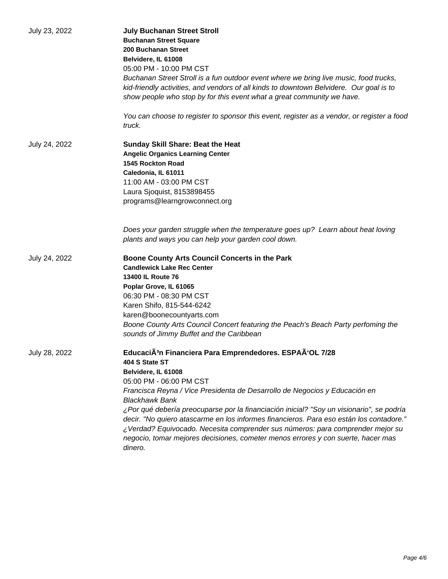| July 23, 2022 | <b>July Buchanan Street Stroll</b><br><b>Buchanan Street Square</b><br>200 Buchanan Street<br>Belvidere, IL 61008<br>05:00 PM - 10:00 PM CST<br>Buchanan Street Stroll is a fun outdoor event where we bring live music, food trucks,<br>kid-friendly activities, and vendors of all kinds to downtown Belvidere. Our goal is to<br>show people who stop by for this event what a great community we have.<br>You can choose to register to sponsor this event, register as a vendor, or register a food                                                                                                                |
|---------------|-------------------------------------------------------------------------------------------------------------------------------------------------------------------------------------------------------------------------------------------------------------------------------------------------------------------------------------------------------------------------------------------------------------------------------------------------------------------------------------------------------------------------------------------------------------------------------------------------------------------------|
|               | truck.                                                                                                                                                                                                                                                                                                                                                                                                                                                                                                                                                                                                                  |
| July 24, 2022 | <b>Sunday Skill Share: Beat the Heat</b><br><b>Angelic Organics Learning Center</b><br><b>1545 Rockton Road</b><br>Caledonia, IL 61011<br>11:00 AM - 03:00 PM CST<br>Laura Sjoquist, 8153898455<br>programs@learngrowconnect.org                                                                                                                                                                                                                                                                                                                                                                                        |
|               | Does your garden struggle when the temperature goes up? Learn about heat loving<br>plants and ways you can help your garden cool down.                                                                                                                                                                                                                                                                                                                                                                                                                                                                                  |
| July 24, 2022 | Boone County Arts Council Concerts in the Park<br><b>Candlewick Lake Rec Center</b><br><b>13400 IL Route 76</b><br>Poplar Grove, IL 61065<br>06:30 PM - 08:30 PM CST<br>Karen Shifo, 815-544-6242<br>karen@boonecountyarts.com<br>Boone County Arts Council Concert featuring the Peach's Beach Party perfoming the<br>sounds of Jimmy Buffet and the Caribbean                                                                                                                                                                                                                                                         |
| July 28, 2022 | EducaciÃ <sup>3</sup> n Financiera Para Emprendedores. ESPAÃ'OL 7/28<br>404 S State ST<br>Belvidere, IL 61008<br>05:00 PM - 06:00 PM CST<br>Francisca Reyna / Vice Presidenta de Desarrollo de Negocios y Educación en<br><b>Blackhawk Bank</b><br>¿Por qué debería preocuparse por la financiación inicial? "Soy un visionario", se podría<br>decir. "No quiero atascarme en los informes financieros. Para eso están los contadore."<br>¿Verdad? Equivocado. Necesita comprender sus números: para comprender mejor su<br>negocio, tomar mejores decisiones, cometer menos errores y con suerte, hacer mas<br>dinero. |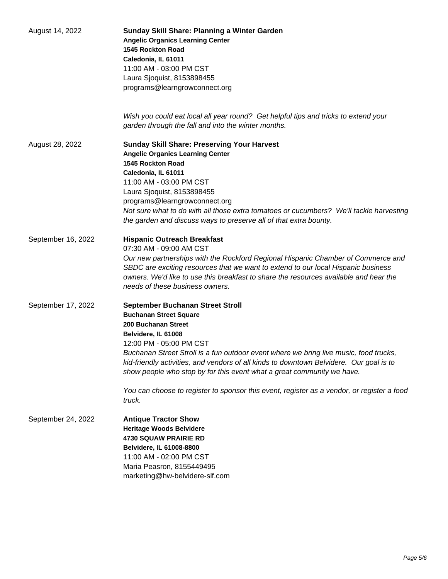| August 14, 2022    | Sunday Skill Share: Planning a Winter Garden<br><b>Angelic Organics Learning Center</b><br>1545 Rockton Road<br>Caledonia, IL 61011<br>11:00 AM - 03:00 PM CST<br>Laura Sjoquist, 8153898455<br>programs@learngrowconnect.org                                                                                                                                                                                                                                                                                    |
|--------------------|------------------------------------------------------------------------------------------------------------------------------------------------------------------------------------------------------------------------------------------------------------------------------------------------------------------------------------------------------------------------------------------------------------------------------------------------------------------------------------------------------------------|
|                    | Wish you could eat local all year round? Get helpful tips and tricks to extend your<br>garden through the fall and into the winter months.                                                                                                                                                                                                                                                                                                                                                                       |
| August 28, 2022    | <b>Sunday Skill Share: Preserving Your Harvest</b><br><b>Angelic Organics Learning Center</b><br><b>1545 Rockton Road</b><br>Caledonia, IL 61011<br>11:00 AM - 03:00 PM CST<br>Laura Sjoquist, 8153898455<br>programs@learngrowconnect.org<br>Not sure what to do with all those extra tomatoes or cucumbers? We'll tackle harvesting<br>the garden and discuss ways to preserve all of that extra bounty.                                                                                                       |
| September 16, 2022 | <b>Hispanic Outreach Breakfast</b><br>07:30 AM - 09:00 AM CST<br>Our new partnerships with the Rockford Regional Hispanic Chamber of Commerce and<br>SBDC are exciting resources that we want to extend to our local Hispanic business<br>owners. We'd like to use this breakfast to share the resources available and hear the<br>needs of these business owners.                                                                                                                                               |
| September 17, 2022 | September Buchanan Street Stroll<br><b>Buchanan Street Square</b><br>200 Buchanan Street<br>Belvidere, IL 61008<br>12:00 PM - 05:00 PM CST<br>Buchanan Street Stroll is a fun outdoor event where we bring live music, food trucks,<br>kid-friendly activities, and vendors of all kinds to downtown Belvidere. Our goal is to<br>show people who stop by for this event what a great community we have.<br>You can choose to register to sponsor this event, register as a vendor, or register a food<br>truck. |
| September 24, 2022 | <b>Antique Tractor Show</b><br><b>Heritage Woods Belvidere</b><br><b>4730 SQUAW PRAIRIE RD</b><br>Belvidere, IL 61008-8800<br>11:00 AM - 02:00 PM CST<br>Maria Peasron, 8155449495<br>marketing@hw-belvidere-slf.com                                                                                                                                                                                                                                                                                             |